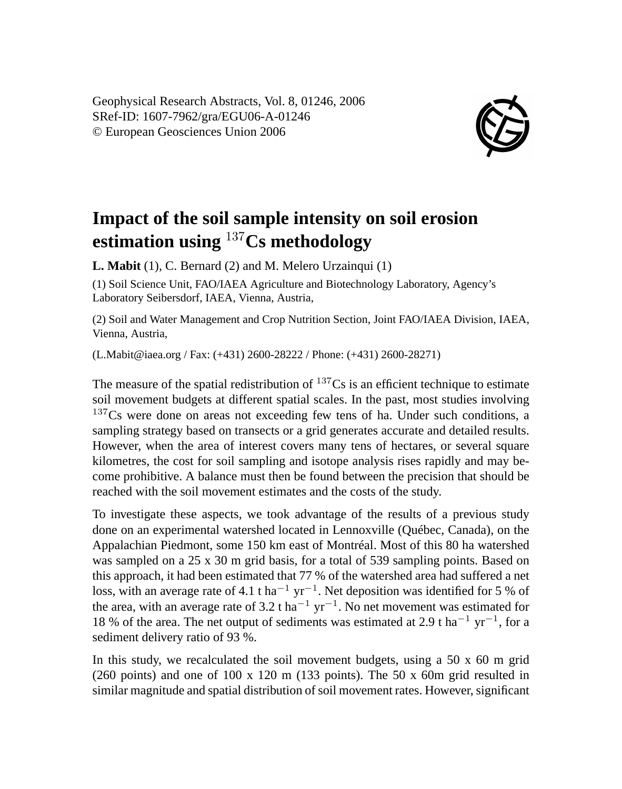Geophysical Research Abstracts, Vol. 8, 01246, 2006 SRef-ID: 1607-7962/gra/EGU06-A-01246 © European Geosciences Union 2006



## **Impact of the soil sample intensity on soil erosion estimation using** <sup>137</sup>**Cs methodology**

**L. Mabit** (1), C. Bernard (2) and M. Melero Urzainqui (1)

(1) Soil Science Unit, FAO/IAEA Agriculture and Biotechnology Laboratory, Agency's Laboratory Seibersdorf, IAEA, Vienna, Austria,

(2) Soil and Water Management and Crop Nutrition Section, Joint FAO/IAEA Division, IAEA, Vienna, Austria,

(L.Mabit@iaea.org / Fax: (+431) 2600-28222 / Phone: (+431) 2600-28271)

The measure of the spatial redistribution of  $137Cs$  is an efficient technique to estimate soil movement budgets at different spatial scales. In the past, most studies involving  $137Cs$  were done on areas not exceeding few tens of ha. Under such conditions, a sampling strategy based on transects or a grid generates accurate and detailed results. However, when the area of interest covers many tens of hectares, or several square kilometres, the cost for soil sampling and isotope analysis rises rapidly and may become prohibitive. A balance must then be found between the precision that should be reached with the soil movement estimates and the costs of the study.

To investigate these aspects, we took advantage of the results of a previous study done on an experimental watershed located in Lennoxville (Québec, Canada), on the Appalachian Piedmont, some 150 km east of Montréal. Most of this 80 ha watershed was sampled on a 25 x 30 m grid basis, for a total of 539 sampling points. Based on this approach, it had been estimated that 77 % of the watershed area had suffered a net loss, with an average rate of 4.1 t ha<sup>-1</sup> yr<sup>-1</sup>. Net deposition was identified for 5 % of the area, with an average rate of 3.2 t ha<sup>-1</sup> yr<sup>-1</sup>. No net movement was estimated for 18 % of the area. The net output of sediments was estimated at 2.9 t ha<sup>-1</sup> yr<sup>-1</sup>, for a sediment delivery ratio of 93 %.

In this study, we recalculated the soil movement budgets, using a  $50 \times 60$  m grid (260 points) and one of  $100 \times 120$  m (133 points). The 50 x 60m grid resulted in similar magnitude and spatial distribution of soil movement rates. However, significant